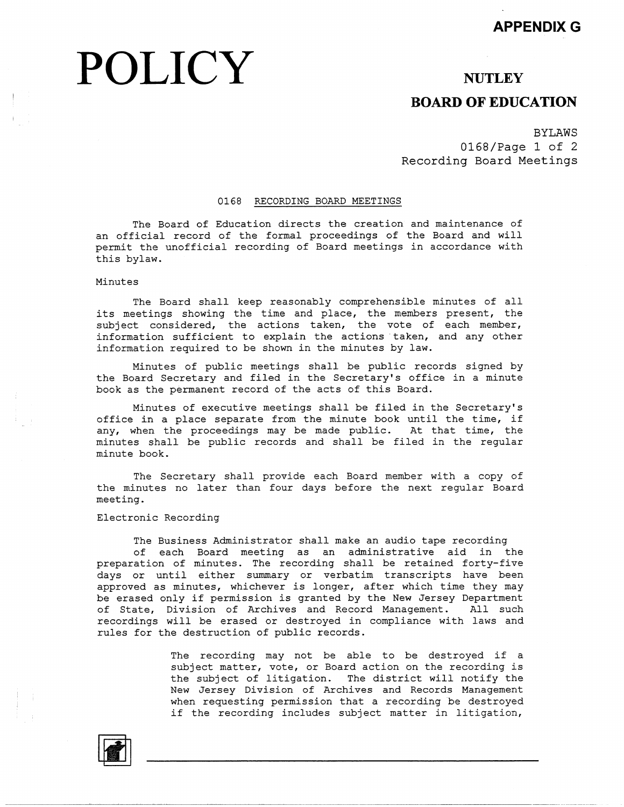# POLICY NUTLEY

# **BOARD OF EDUCATION**

BYLAWS 0168/Page 1 of 2 Recording Board Meetings

## 0168 RECORDING BOARD MEETINGS

The Board of Education directs the creation and maintenance of an official record of the formal proceedings of the Board and will permit the unofficial recording of Board meetings in accordance with this bylaw.

### Minutes

The Board shall keep reasonably comprehensible minutes of all its meetings showing the time and place, the members present, the subject considered, the actions taken, the vote of each member, information sufficient to explain the actions taken, and any other information required to be shown in the minutes by law.

Minutes of public meetings shall be public records signed by the Board Secretary and filed in the Secretary's office in a minute book as the permanent record of the acts of this Board.

Minutes of executive meetings shall be filed in the Secretary's office in a place separate from the minute book until the time, if any, when the proceedings may be made public. At that time, the minutes shall be public records and shall be filed in the regular minute book.

The Secretary shall provide each Board member with a copy of the minutes no later than four days before the next regular Board meeting.

#### Electronic Recording

The Business Administrator shall make an audio tape recording

of each Board meeting as an administrative aid in the preparation of minutes. The recording shall be retained forty-five days or until either summary or verbatim transcripts have been approved as minutes, whichever is longer, after which time they may be erased only if permission is granted by the New Jersey Department of State, Division of Archives and Record Management. All such recordings will be erased or destroyed in compliance with laws and rules for the destruction of public records.

> The recording may not be able to be destroyed if a subject matter, vote, or Board action on the recording is the subject of litigation. The district will notify the New Jersey Division of Archives and Records Management when requesting permission that a recording be destroyed if the recording includes subject matter in litigation,